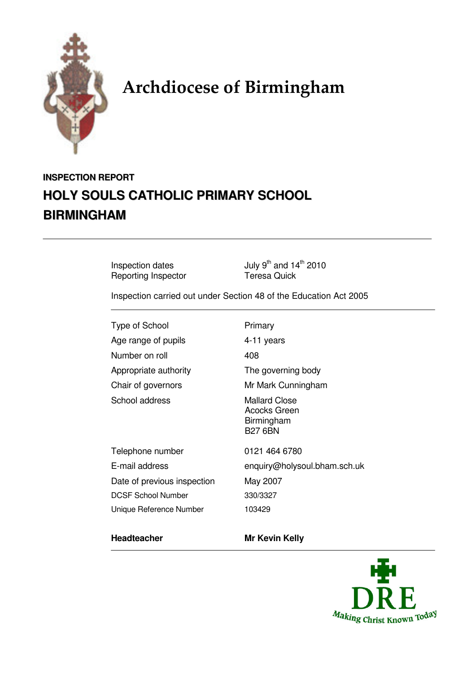

# Archdiocese of Birmingham

# **INSPECTION REPORT HOLY SOULS CATHOLIC PRIMARY SCHOOL BIRMINGHAM**

Reporting Inspector

Inspection dates  $July 9<sup>th</sup>$  and  $14<sup>th</sup>$  2010<br>
Reporting Inspector Teresa Quick

Inspection carried out under Section 48 of the Education Act 2005

Type of School Primary Age range of pupils 4-11 years Number on roll 408 Appropriate authority The governing body Chair of governors Mr Mark Cunningham School address Mallard Close

Acocks Green Birmingham

B27 6BN

Telephone number 0121 464 6780 E-mail address enquiry@holysoul.bham.sch.uk Date of previous inspection May 2007 DCSF School Number 330/3327 Unique Reference Number 103429

### **Headteacher Mr Kevin Kelly**

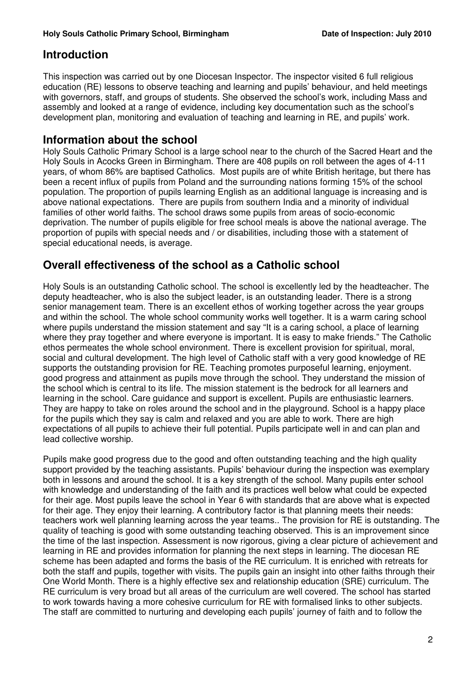# **Introduction**

This inspection was carried out by one Diocesan Inspector. The inspector visited 6 full religious education (RE) lessons to observe teaching and learning and pupils' behaviour, and held meetings with governors, staff, and groups of students. She observed the school's work, including Mass and assembly and looked at a range of evidence, including key documentation such as the school's development plan, monitoring and evaluation of teaching and learning in RE, and pupils' work.

# **Information about the school**

Holy Souls Catholic Primary School is a large school near to the church of the Sacred Heart and the Holy Souls in Acocks Green in Birmingham. There are 408 pupils on roll between the ages of 4-11 years, of whom 86% are baptised Catholics. Most pupils are of white British heritage, but there has been a recent influx of pupils from Poland and the surrounding nations forming 15% of the school population. The proportion of pupils learning English as an additional language is increasing and is above national expectations. There are pupils from southern India and a minority of individual families of other world faiths. The school draws some pupils from areas of socio-economic deprivation. The number of pupils eligible for free school meals is above the national average. The proportion of pupils with special needs and / or disabilities, including those with a statement of special educational needs, is average.

# **Overall effectiveness of the school as a Catholic school**

Holy Souls is an outstanding Catholic school. The school is excellently led by the headteacher. The deputy headteacher, who is also the subject leader, is an outstanding leader. There is a strong senior management team. There is an excellent ethos of working together across the year groups and within the school. The whole school community works well together. It is a warm caring school where pupils understand the mission statement and say "It is a caring school, a place of learning where they pray together and where everyone is important. It is easy to make friends." The Catholic ethos permeates the whole school environment. There is excellent provision for spiritual, moral, social and cultural development. The high level of Catholic staff with a very good knowledge of RE supports the outstanding provision for RE. Teaching promotes purposeful learning, enjoyment. good progress and attainment as pupils move through the school. They understand the mission of the school which is central to its life. The mission statement is the bedrock for all learners and learning in the school. Care guidance and support is excellent. Pupils are enthusiastic learners. They are happy to take on roles around the school and in the playground. School is a happy place for the pupils which they say is calm and relaxed and you are able to work. There are high expectations of all pupils to achieve their full potential. Pupils participate well in and can plan and lead collective worship.

Pupils make good progress due to the good and often outstanding teaching and the high quality support provided by the teaching assistants. Pupils' behaviour during the inspection was exemplary both in lessons and around the school. It is a key strength of the school. Many pupils enter school with knowledge and understanding of the faith and its practices well below what could be expected for their age. Most pupils leave the school in Year 6 with standards that are above what is expected for their age. They enjoy their learning. A contributory factor is that planning meets their needs: teachers work well planning learning across the year teams.. The provision for RE is outstanding. The quality of teaching is good with some outstanding teaching observed. This is an improvement since the time of the last inspection. Assessment is now rigorous, giving a clear picture of achievement and learning in RE and provides information for planning the next steps in learning. The diocesan RE scheme has been adapted and forms the basis of the RE curriculum. It is enriched with retreats for both the staff and pupils, together with visits. The pupils gain an insight into other faiths through their One World Month. There is a highly effective sex and relationship education (SRE) curriculum. The RE curriculum is very broad but all areas of the curriculum are well covered. The school has started to work towards having a more cohesive curriculum for RE with formalised links to other subjects. The staff are committed to nurturing and developing each pupils' journey of faith and to follow the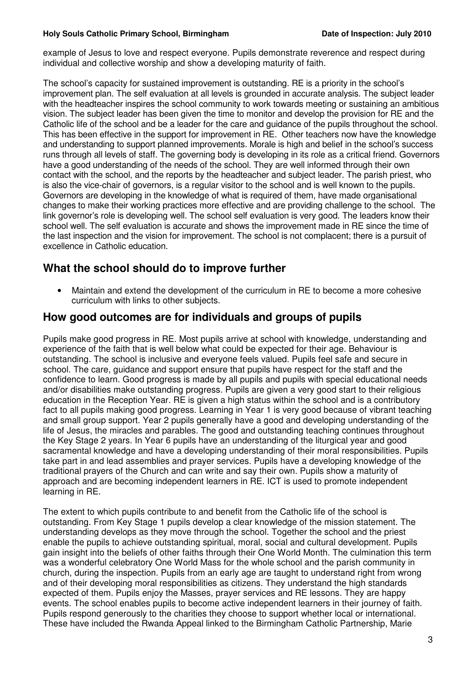#### **Holy Souls Catholic Primary School, Birmingham Date of Inspection: July 2010**

example of Jesus to love and respect everyone. Pupils demonstrate reverence and respect during individual and collective worship and show a developing maturity of faith.

The school's capacity for sustained improvement is outstanding. RE is a priority in the school's improvement plan. The self evaluation at all levels is grounded in accurate analysis. The subject leader with the headteacher inspires the school community to work towards meeting or sustaining an ambitious vision. The subject leader has been given the time to monitor and develop the provision for RE and the Catholic life of the school and be a leader for the care and guidance of the pupils throughout the school. This has been effective in the support for improvement in RE. Other teachers now have the knowledge and understanding to support planned improvements. Morale is high and belief in the school's success runs through all levels of staff. The governing body is developing in its role as a critical friend. Governors have a good understanding of the needs of the school. They are well informed through their own contact with the school, and the reports by the headteacher and subject leader. The parish priest, who is also the vice-chair of governors, is a regular visitor to the school and is well known to the pupils. Governors are developing in the knowledge of what is required of them, have made organisational changes to make their working practices more effective and are providing challenge to the school. The link governor's role is developing well. The school self evaluation is very good. The leaders know their school well. The self evaluation is accurate and shows the improvement made in RE since the time of the last inspection and the vision for improvement. The school is not complacent; there is a pursuit of excellence in Catholic education.

# **What the school should do to improve further**

• Maintain and extend the development of the curriculum in RE to become a more cohesive curriculum with links to other subjects.

# **How good outcomes are for individuals and groups of pupils**

Pupils make good progress in RE. Most pupils arrive at school with knowledge, understanding and experience of the faith that is well below what could be expected for their age. Behaviour is outstanding. The school is inclusive and everyone feels valued. Pupils feel safe and secure in school. The care, guidance and support ensure that pupils have respect for the staff and the confidence to learn. Good progress is made by all pupils and pupils with special educational needs and/or disabilities make outstanding progress. Pupils are given a very good start to their religious education in the Reception Year. RE is given a high status within the school and is a contributory fact to all pupils making good progress. Learning in Year 1 is very good because of vibrant teaching and small group support. Year 2 pupils generally have a good and developing understanding of the life of Jesus, the miracles and parables. The good and outstanding teaching continues throughout the Key Stage 2 years. In Year 6 pupils have an understanding of the liturgical year and good sacramental knowledge and have a developing understanding of their moral responsibilities. Pupils take part in and lead assemblies and prayer services. Pupils have a developing knowledge of the traditional prayers of the Church and can write and say their own. Pupils show a maturity of approach and are becoming independent learners in RE. ICT is used to promote independent learning in RE.

The extent to which pupils contribute to and benefit from the Catholic life of the school is outstanding. From Key Stage 1 pupils develop a clear knowledge of the mission statement. The understanding develops as they move through the school. Together the school and the priest enable the pupils to achieve outstanding spiritual, moral, social and cultural development. Pupils gain insight into the beliefs of other faiths through their One World Month. The culmination this term was a wonderful celebratory One World Mass for the whole school and the parish community in church, during the inspection. Pupils from an early age are taught to understand right from wrong and of their developing moral responsibilities as citizens. They understand the high standards expected of them. Pupils enjoy the Masses, prayer services and RE lessons. They are happy events. The school enables pupils to become active independent learners in their journey of faith. Pupils respond generously to the charities they choose to support whether local or international. These have included the Rwanda Appeal linked to the Birmingham Catholic Partnership, Marie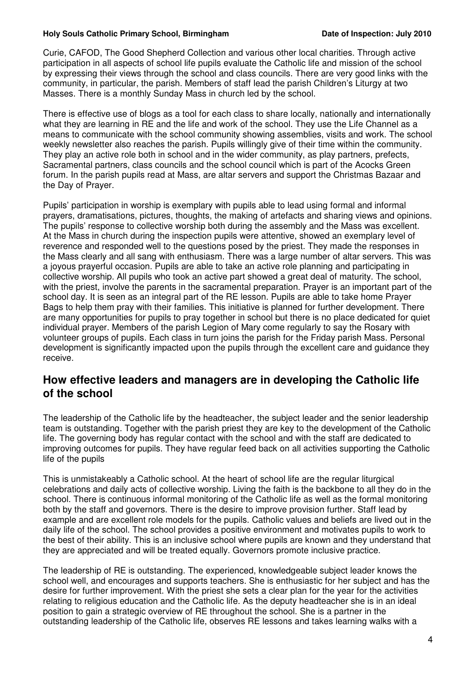#### **Holy Souls Catholic Primary School, Birmingham Date of Inspection: July 2010**

Curie, CAFOD, The Good Shepherd Collection and various other local charities. Through active participation in all aspects of school life pupils evaluate the Catholic life and mission of the school by expressing their views through the school and class councils. There are very good links with the community, in particular, the parish. Members of staff lead the parish Children's Liturgy at two Masses. There is a monthly Sunday Mass in church led by the school.

There is effective use of blogs as a tool for each class to share locally, nationally and internationally what they are learning in RE and the life and work of the school. They use the Life Channel as a means to communicate with the school community showing assemblies, visits and work. The school weekly newsletter also reaches the parish. Pupils willingly give of their time within the community. They play an active role both in school and in the wider community, as play partners, prefects, Sacramental partners, class councils and the school council which is part of the Acocks Green forum. In the parish pupils read at Mass, are altar servers and support the Christmas Bazaar and the Day of Prayer.

Pupils' participation in worship is exemplary with pupils able to lead using formal and informal prayers, dramatisations, pictures, thoughts, the making of artefacts and sharing views and opinions. The pupils' response to collective worship both during the assembly and the Mass was excellent. At the Mass in church during the inspection pupils were attentive, showed an exemplary level of reverence and responded well to the questions posed by the priest. They made the responses in the Mass clearly and all sang with enthusiasm. There was a large number of altar servers. This was a joyous prayerful occasion. Pupils are able to take an active role planning and participating in collective worship. All pupils who took an active part showed a great deal of maturity. The school, with the priest, involve the parents in the sacramental preparation. Prayer is an important part of the school day. It is seen as an integral part of the RE lesson. Pupils are able to take home Prayer Bags to help them pray with their families. This initiative is planned for further development. There are many opportunities for pupils to pray together in school but there is no place dedicated for quiet individual prayer. Members of the parish Legion of Mary come regularly to say the Rosary with volunteer groups of pupils. Each class in turn joins the parish for the Friday parish Mass. Personal development is significantly impacted upon the pupils through the excellent care and guidance they receive.

# **How effective leaders and managers are in developing the Catholic life of the school**

The leadership of the Catholic life by the headteacher, the subject leader and the senior leadership team is outstanding. Together with the parish priest they are key to the development of the Catholic life. The governing body has regular contact with the school and with the staff are dedicated to improving outcomes for pupils. They have regular feed back on all activities supporting the Catholic life of the pupils

This is unmistakeably a Catholic school. At the heart of school life are the regular liturgical celebrations and daily acts of collective worship. Living the faith is the backbone to all they do in the school. There is continuous informal monitoring of the Catholic life as well as the formal monitoring both by the staff and governors. There is the desire to improve provision further. Staff lead by example and are excellent role models for the pupils. Catholic values and beliefs are lived out in the daily life of the school. The school provides a positive environment and motivates pupils to work to the best of their ability. This is an inclusive school where pupils are known and they understand that they are appreciated and will be treated equally. Governors promote inclusive practice.

The leadership of RE is outstanding. The experienced, knowledgeable subject leader knows the school well, and encourages and supports teachers. She is enthusiastic for her subject and has the desire for further improvement. With the priest she sets a clear plan for the year for the activities relating to religious education and the Catholic life. As the deputy headteacher she is in an ideal position to gain a strategic overview of RE throughout the school. She is a partner in the outstanding leadership of the Catholic life, observes RE lessons and takes learning walks with a